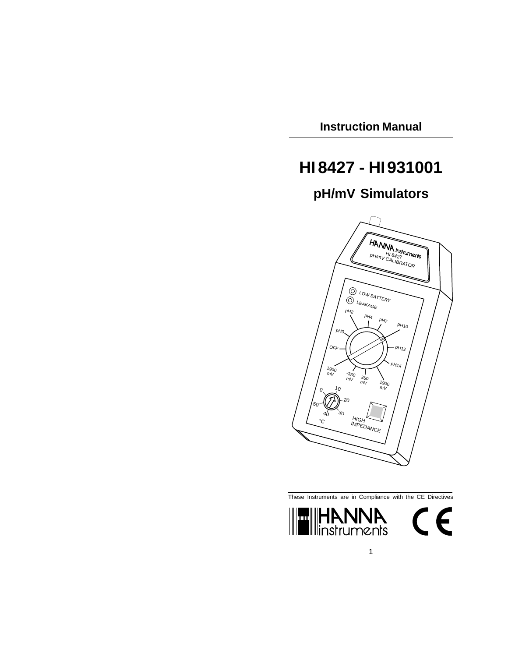**Instruction Manual**

# **HI8427 - HI931001**

## **pH/mV Simulators**



These Instruments are in Compliance with the CE Directives



1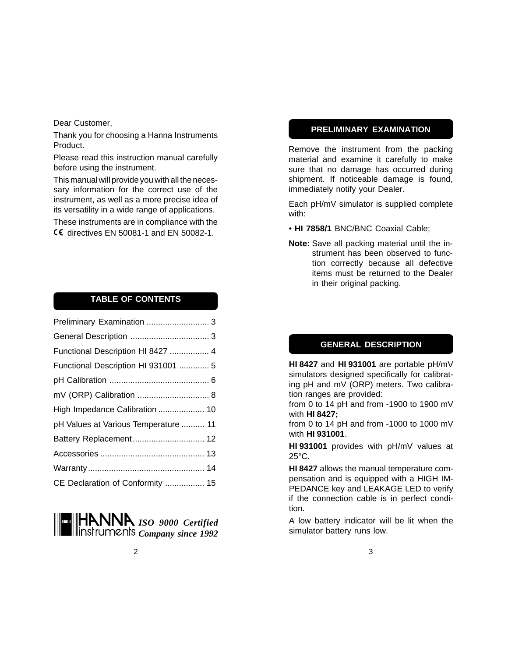Dear Customer,

Thank you for choosing a Hanna Instruments Product.

Please read this instruction manual carefully before using the instrument.

This manual will provide you with all the necessary information for the correct use of the instrument, as well as a more precise idea of its versatility in a wide range of applications.

These instruments are in compliance with the **CE** directives EN 50081-1 and EN 50082-1.

### **TABLE OF CONTENTS**

| Preliminary Examination  3           |  |
|--------------------------------------|--|
|                                      |  |
| Functional Description HI 8427  4    |  |
| Functional Description HI 931001  5  |  |
|                                      |  |
|                                      |  |
| High Impedance Calibration  10       |  |
| pH Values at Various Temperature  11 |  |
| Battery Replacement 12               |  |
|                                      |  |
|                                      |  |
| CE Declaration of Conformity  15     |  |

*ISO 9000 Certified Company since 1992*

#### **PRELIMINARY EXAMINATION**

Remove the instrument from the packing material and examine it carefully to make sure that no damage has occurred during shipment. If noticeable damage is found, immediately notify your Dealer.

Each pH/mV simulator is supplied complete with:

- • **HI 7858/1** BNC/BNC Coaxial Cable;
- **Note:** Save all packing material until the instrument has been observed to function correctly because all defective items must be returned to the Dealer in their original packing.

### **GENERAL DESCRIPTION**

**HI 8427** and **HI 931001** are portable pH/mV simulators designed specifically for calibrating pH and mV (ORP) meters. Two calibration ranges are provided:

from 0 to 14 pH and from -1900 to 1900 mV with **HI 8427;**

from 0 to 14 pH and from -1000 to 1000 mV with **HI 931001**.

**HI 931001** provides with pH/mV values at 25°C.

**HI 8427** allows the manual temperature compensation and is equipped with a HIGH IM-PEDANCE key and LEAKAGE LED to verify if the connection cable is in perfect condition.

A low battery indicator will be lit when the simulator battery runs low.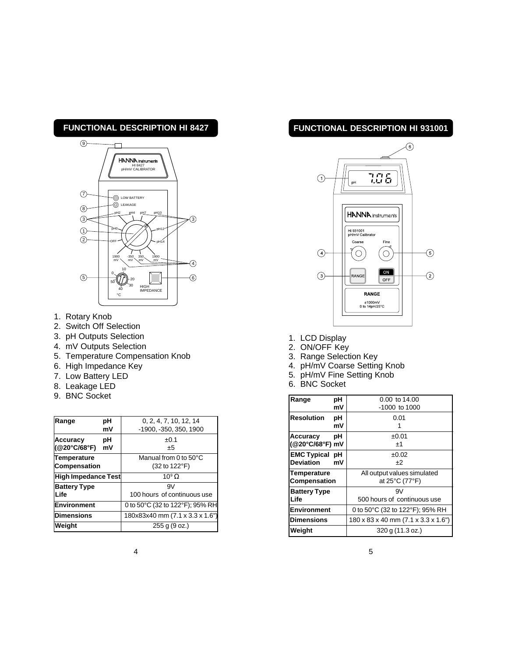## **FUNCTIONAL DESCRIPTION HI 8427**



- 1. Rotary Knob
- 2. Switch Off Selection
- 3. pH Outputs Selection
- 4. mV Outputs Selection
- 5. Temperature Compensation Knob
- 6. High Impedance Key
- 7. Low Battery LED
- 8. Leakage LED
- 9. BNC Socket

| Range                       | рH<br>mV | 0, 2, 4, 7, 10, 12, 14<br>-1900, -350, 350, 1900 |
|-----------------------------|----------|--------------------------------------------------|
| Accuracy<br>( @ 20°C/68°F)  | рH<br>mV | ±0.1<br>±5                                       |
| Temperature<br>Compensation |          | Manual from 0 to 50°C<br>(32 to 122°F)           |
| High Impedance Test         |          | $10^9 \Omega$                                    |
| <b>Battery Type</b>         |          | 9V                                               |
| <b>Life</b>                 |          | 100 hours of continuous use                      |
| Environment                 |          | 0 to 50°C (32 to 122°F); 95% RH                  |
| <b>Dimensions</b>           |          | 180x83x40 mm (7.1 x 3.3 x 1.6")                  |
| Weight                      |          | 255 g (9 oz.)                                    |

## **FUNCTIONAL DESCRIPTION HI 931001**



- 1. LCD Display
- 2. ON/OFF Key
- 3. Range Selection Key
- 4. pH/mV Coarse Setting Knob
- 5. pH/mV Fine Setting Knob
- 6. BNC Socket

| рH<br>Range             | 0.00 to 14.00                       |
|-------------------------|-------------------------------------|
| mV                      | $-1000$ to $1000$                   |
|                         |                                     |
| <b>Resolution</b><br>рH | 0.01                                |
| mV                      |                                     |
| рH<br>Accuracy          | ±0.01                               |
| (@20°C/68°F) mV         | $+1$                                |
| <b>EMC Typical pH</b>   | ±0.02                               |
| <b>Deviation</b><br>mV  | +2                                  |
| <b>Temperature</b>      | All output values simulated         |
| Compensation            | at 25°C (77°F)                      |
| <b>Battery Type</b>     | 9V                                  |
| Life                    | 500 hours of continuous use         |
| Environment             | 0 to 50°C (32 to 122°F); 95% RH     |
| <b>Dimensions</b>       | 180 x 83 x 40 mm (7.1 x 3.3 x 1.6") |
| Weight                  | 320 g (11.3 oz.)                    |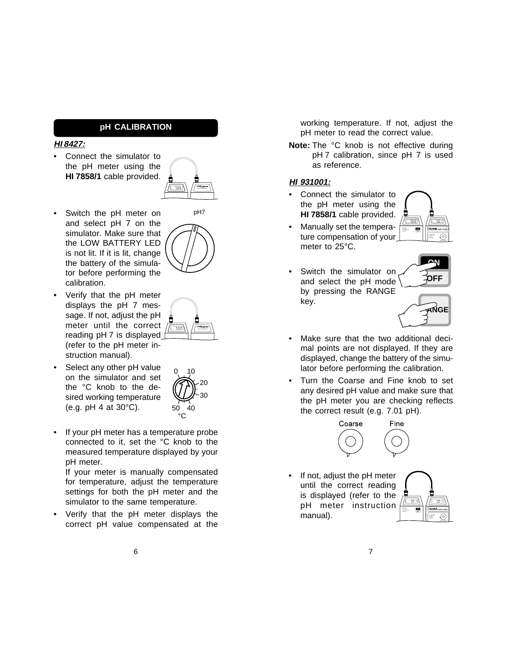#### **pH CALIBRATION**

#### **HI 8427:**

• Connect the simulator to the pH meter using the **HI 7858/1** cable provided.



pH7

- Switch the pH meter on and select pH 7 on the simulator. Make sure that the LOW BATTERY LED is not lit. If it is lit, change the battery of the simulator before performing the calibration.
- Verify that the pH meter displays the pH 7 message. If not, adjust the pH meter until the correct reading pH 7 is displayed (refer to the pH meter instruction manual).
- Select any other pH value on the simulator and set the °C knob to the desired working temperature (e.g. pH 4 at 30°C).



HI 8427  $p = 1$  and  $p = 1$  and  $p = 2$  and  $p = 2$ 

If your pH meter has a temperature probe connected to it, set the °C knob to the measured temperature displayed by your pH meter.

If your meter is manually compensated for temperature, adjust the temperature settings for both the pH meter and the simulator to the same temperature.

• Verify that the pH meter displays the correct pH value compensated at the working temperature. If not, adjust the pH meter to read the correct value.

**Note:** The °C knob is not effective during pH 7 calibration, since pH 7 is used as reference.

#### **HI 931001:**

• Connect the simulator to the pH meter using the **HI 7858/1** cable provided.



- Manually set the temperature compensation of your meter to 25°C.
- Switch the simulator on and select the pH mode by pressing the RANGE key.



**OFF ON**

- Make sure that the two additional decimal points are not displayed. If they are displayed, change the battery of the simulator before performing the calibration.
- Turn the Coarse and Fine knob to set any desired pH value and make sure that the pH meter you are checking reflects the correct result (e.g. 7.01 pH).



If not, adjust the pH meter until the correct reading is displayed (refer to the pH meter instruction manual).

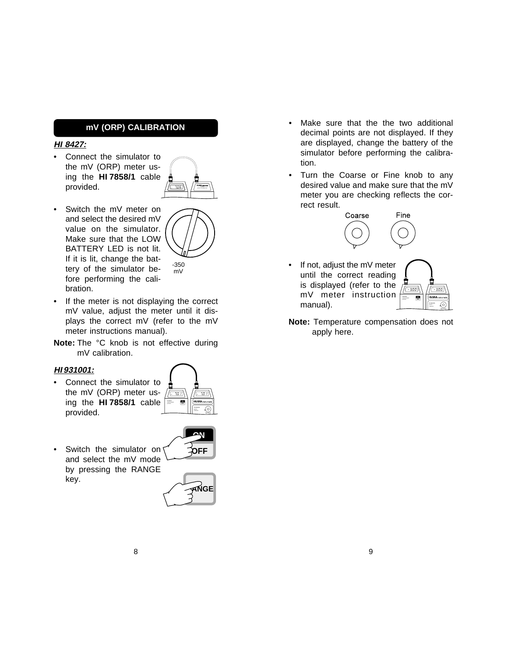#### **mV (ORP) CALIBRATION**

#### **HI 8427:**

Connect the simulator to the mV (ORP) meter using the **HI 7858/1** cable provided.



mV

- Switch the mV meter on and select the desired mV value on the simulator. Make sure that the LOW BATTERY LED is not lit. If it is lit, change the battery of the simulator before performing the calibration. -350
- If the meter is not displaying the correct mV value, adjust the meter until it displays the correct mV (refer to the mV meter instructions manual).
- **Note:** The °C knob is not effective during mV calibration.

#### **HI 931001:**

• Connect the simulator to the mV (ORP) meter using the **HI 7858/1** cable provided. pH pH



• Switch the simulator on and select the mV mode by pressing the RANGE key.



- Make sure that the the two additional decimal points are not displayed. If they are displayed, change the battery of the simulator before performing the calibration.
- Turn the Coarse or Fine knob to any desired value and make sure that the mV meter you are checking reflects the correct result.



If not, adjust the mV meter until the correct reading is displayed (refer to the mV meter instruction manual).

mV mV SETTING

**Note:** Temperature compensation does not apply here.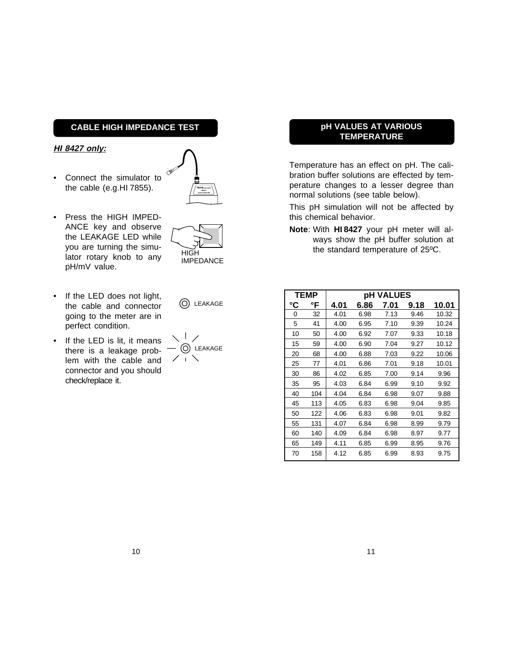### **CABLE HIGH IMPEDANCE TEST**

#### **HI 8427 only:**

• Connect the simulator to the cable (e.g.HI 7855).



- Press the HIGH IMPED-ANCE key and observe the LEAKAGE LED while you are turning the simulator rotary knob to any pH/mV value.
- If the LED does not light, the cable and connector going to the meter are in perfect condition.
- If the LED is lit, it means there is a leakage problem with the cable and connector and you should check/replace it.



HIGH IMPEDANCE

ヽ╵╱  $-$  (O) LEAKAGE  $7.1\times$ 

### **pH VALUES AT VARIOUS TEMPERATURE**

Temperature has an effect on pH. The calibration buffer solutions are effected by temperature changes to a lesser degree than normal solutions (see table below).

This pH simulation will not be affected by this chemical behavior.

**Note**: With **HI 8427** your pH meter will always show the pH buffer solution at the standard temperature of 25ºC.

|    | <b>TEMP</b> | <b>pH VALUES</b> |      |      |      |       |
|----|-------------|------------------|------|------|------|-------|
| °C | °F          | 4.01             | 6.86 | 7.01 | 9.18 | 10.01 |
| 0  | 32          | 4.01             | 6.98 | 7.13 | 9.46 | 10.32 |
| 5  | 41          | 4.00             | 6.95 | 7.10 | 9.39 | 10.24 |
| 10 | 50          | 4.00             | 6.92 | 7.07 | 9.33 | 10.18 |
| 15 | 59          | 4.00             | 6.90 | 7.04 | 9.27 | 10.12 |
| 20 | 68          | 4.00             | 6.88 | 7.03 | 9.22 | 10.06 |
| 25 | 77          | 4.01             | 6.86 | 7.01 | 9.18 | 10.01 |
| 30 | 86          | 4.02             | 6.85 | 7.00 | 9.14 | 9.96  |
| 35 | 95          | 4.03             | 6.84 | 6.99 | 9.10 | 9.92  |
| 40 | 104         | 4.04             | 6.84 | 6.98 | 9.07 | 9.88  |
| 45 | 113         | 4.05             | 6.83 | 6.98 | 9.04 | 9.85  |
| 50 | 122         | 4.06             | 6.83 | 6.98 | 9.01 | 9.82  |
| 55 | 131         | 4.07             | 6.84 | 6.98 | 8.99 | 9.79  |
| 60 | 140         | 4.09             | 6.84 | 6.98 | 8.97 | 9.77  |
| 65 | 149         | 4.11             | 6.85 | 6.99 | 8.95 | 9.76  |
| 70 | 158         | 4.12             | 6.85 | 6.99 | 8.93 | 9.75  |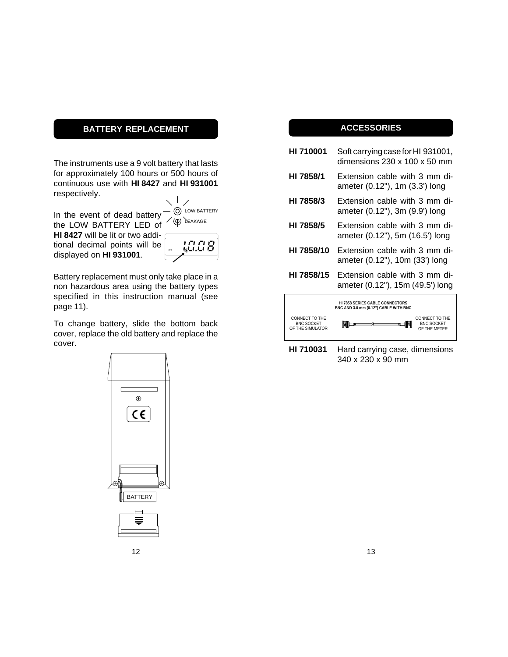## **BATTERY REPLACEMENT**

The instruments use a 9 volt battery that lasts for approximately 100 hours or 500 hours of continuous use with **HI 8427** and **HI 931001** respectively.

In the event of dead battery the LOW BATTERY LED of LOW BATTERY (Q) LEAKAGE

**HI 8427** will be lit or two additional decimal points will be displayed on **HI 931001**.

| pH | -'∼' |
|----|------|
|    |      |
|    |      |

Battery replacement must only take place in a non hazardous area using the battery types specified in this instruction manual (see page 11).

To change battery, slide the bottom back cover, replace the old battery and replace the cover.





## **ACCESSORIES**

- **HI 710001** Soft carrying case for HI 931001, dimensions 230 x 100 x 50 mm
- **HI 7858/1** Extension cable with 3 mm diameter (0.12"), 1m (3.3') long
- **HI 7858/3** Extension cable with 3 mm diameter (0.12"), 3m (9.9') long
- **HI 7858/5** Extension cable with 3 mm diameter (0.12"), 5m (16.5') long
- **HI 7858/10** Extension cable with 3 mm diameter (0.12"), 10m (33') long
- **HI 7858/15** Extension cable with 3 mm diameter (0.12"), 15m (49.5') long



**HI 710031** Hard carrying case, dimensions 340 x 230 x 90 mm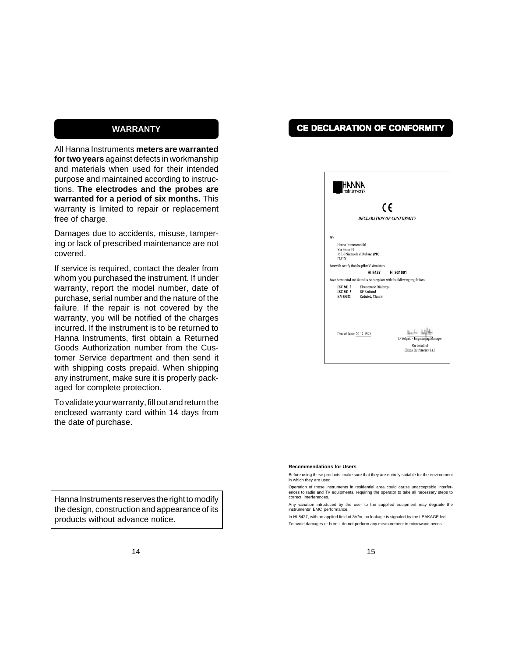### **WARRANTY**

All Hanna Instruments **meters are warranted for two years** against defects in workmanship and materials when used for their intended purpose and maintained according to instructions. **The electrodes and the probes are warranted for a period of six months.** This warranty is limited to repair or replacement free of charge.

Damages due to accidents, misuse, tampering or lack of prescribed maintenance are not covered.

If service is required, contact the dealer from whom you purchased the instrument. If under warranty, report the model number, date of purchase, serial number and the nature of the failure. If the repair is not covered by the warranty, you will be notified of the charges incurred. If the instrument is to be returned to Hanna Instruments, first obtain a Returned Goods Authorization number from the Customer Service department and then send it with shipping costs prepaid. When shipping any instrument, make sure it is properly packaged for complete protection.

To validate your warranty, fill out and return the enclosed warranty card within 14 days from the date of purchase.

Hanna Instruments reserves the right to modify the design, construction and appearance of its products without advance notice.

## **CE DECLARATION OF CONFORMITY**

| <b>HE HANNA</b><br>Instruments                        |                                                                    |                                                                             |
|-------------------------------------------------------|--------------------------------------------------------------------|-----------------------------------------------------------------------------|
|                                                       |                                                                    | CE<br><b>DECLARATION OF CONFORMITY</b>                                      |
| We                                                    |                                                                    |                                                                             |
| Hanna Instruments Srl<br>Via Fermi 10<br><b>ITALY</b> | 35030 Sarmeola di Rubano (PD)                                      |                                                                             |
|                                                       | herewith certify that the pH/mV simulators                         |                                                                             |
|                                                       | HI 8427                                                            | HI 931001                                                                   |
|                                                       |                                                                    | have been tested and found to be compliant with the following regulations:  |
| <b>IEC 801-2</b><br>IEC 801-3<br>EN 55022             | Electrostatic Discharge<br><b>RF</b> Radiated<br>Radiated, Class B |                                                                             |
| Date of Issue: 20-12-1995                             |                                                                    | D.Volpato - Engineering Manager<br>On hehalf of<br>Hanna Instruments S.r.l. |

#### **Recommendations for Users**

Before using these products, make sure that they are entirely suitable for the environment in which they are used.

Operation of these instruments in residential area could cause unacceptable interferences to radio and TV equipments, requiring the operator to take all necessary steps to correct interferences.

Any variation introduced by the user to the supplied equipment may degrade the instruments' EMC performa

In HI 8427, with an applied field of 3V/m, no leakage is signaled by the LEAKAGE led.

To avoid damages or burns, do not perform any measurement in microwave ovens.